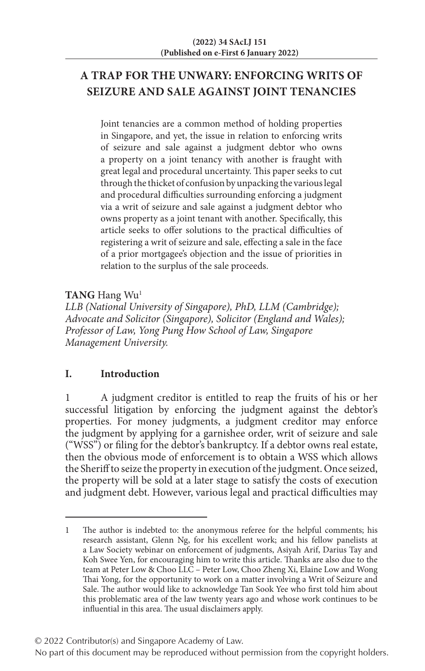# **A TRAP FOR THE UNWARY: ENFORCING WRITS OF SEIZURE AND SALE AGAINST JOINT TENANCIES**

Joint tenancies are a common method of holding properties in Singapore, and yet, the issue in relation to enforcing writs of seizure and sale against a judgment debtor who owns a property on a joint tenancy with another is fraught with great legal and procedural uncertainty. This paper seeks to cut through the thicket of confusion by unpacking the various legal and procedural difficulties surrounding enforcing a judgment via a writ of seizure and sale against a judgment debtor who owns property as a joint tenant with another. Specifically, this article seeks to offer solutions to the practical difficulties of registering a writ of seizure and sale, effecting a sale in the face of a prior mortgagee's objection and the issue of priorities in relation to the surplus of the sale proceeds.

**TANG** Hang Wu1

*LLB (National University of Singapore), PhD, LLM (Cambridge); Advocate and Solicitor (Singapore), Solicitor (England and Wales); Professor of Law, Yong Pung How School of Law, Singapore Management University.*

## **I. Introduction**

1 A judgment creditor is entitled to reap the fruits of his or her successful litigation by enforcing the judgment against the debtor's properties. For money judgments, a judgment creditor may enforce the judgment by applying for a garnishee order, writ of seizure and sale ("WSS") or filing for the debtor's bankruptcy. If a debtor owns real estate, then the obvious mode of enforcement is to obtain a WSS which allows the Sheriff to seize the property in execution of the judgment. Once seized, the property will be sold at a later stage to satisfy the costs of execution and judgment debt. However, various legal and practical difficulties may

<sup>1</sup> The author is indebted to: the anonymous referee for the helpful comments; his research assistant, Glenn Ng, for his excellent work; and his fellow panelists at a Law Society webinar on enforcement of judgments, Asiyah Arif, Darius Tay and Koh Swee Yen, for encouraging him to write this article. Thanks are also due to the team at Peter Low & Choo LLC – Peter Low, Choo Zheng Xi, Elaine Low and Wong Thai Yong, for the opportunity to work on a matter involving a Writ of Seizure and Sale. The author would like to acknowledge Tan Sook Yee who first told him about this problematic area of the law twenty years ago and whose work continues to be influential in this area. The usual disclaimers apply.

No part of this document may be reproduced without permission from the copyright holders.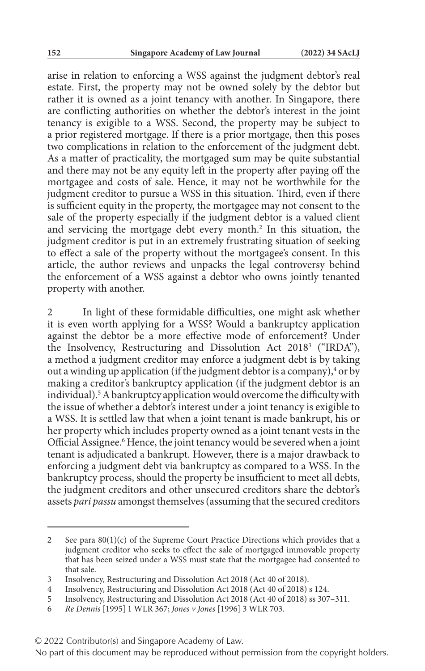arise in relation to enforcing a WSS against the judgment debtor's real estate. First, the property may not be owned solely by the debtor but rather it is owned as a joint tenancy with another. In Singapore, there are conflicting authorities on whether the debtor's interest in the joint tenancy is exigible to a WSS. Second, the property may be subject to a prior registered mortgage. If there is a prior mortgage, then this poses two complications in relation to the enforcement of the judgment debt. As a matter of practicality, the mortgaged sum may be quite substantial and there may not be any equity left in the property after paying off the mortgagee and costs of sale. Hence, it may not be worthwhile for the judgment creditor to pursue a WSS in this situation. Third, even if there is sufficient equity in the property, the mortgagee may not consent to the sale of the property especially if the judgment debtor is a valued client and servicing the mortgage debt every month.<sup>2</sup> In this situation, the judgment creditor is put in an extremely frustrating situation of seeking to effect a sale of the property without the mortgagee's consent. In this article, the author reviews and unpacks the legal controversy behind the enforcement of a WSS against a debtor who owns jointly tenanted property with another.

2 In light of these formidable difficulties, one might ask whether it is even worth applying for a WSS? Would a bankruptcy application against the debtor be a more effective mode of enforcement? Under the Insolvency, Restructuring and Dissolution Act 2018<sup>3</sup> ("IRDA"), a method a judgment creditor may enforce a judgment debt is by taking out a winding up application (if the judgment debtor is a company), $4$  or by making a creditor's bankruptcy application (if the judgment debtor is an individual).<sup>5</sup> A bankruptcy application would overcome the difficulty with the issue of whether a debtor's interest under a joint tenancy is exigible to a WSS. It is settled law that when a joint tenant is made bankrupt, his or her property which includes property owned as a joint tenant vests in the Official Assignee.<sup>6</sup> Hence, the joint tenancy would be severed when a joint tenant is adjudicated a bankrupt. However, there is a major drawback to enforcing a judgment debt via bankruptcy as compared to a WSS. In the bankruptcy process, should the property be insufficient to meet all debts, the judgment creditors and other unsecured creditors share the debtor's assets *pari passu* amongst themselves (assuming that the secured creditors

<sup>2</sup> See para 80(1)(c) of the Supreme Court Practice Directions which provides that a judgment creditor who seeks to effect the sale of mortgaged immovable property that has been seized under a WSS must state that the mortgagee had consented to that sale.

<sup>3</sup> Insolvency, Restructuring and Dissolution Act 2018 (Act 40 of 2018).

Insolvency, Restructuring and Dissolution Act 2018 (Act 40 of 2018) s 124.

<sup>5</sup> Insolvency, Restructuring and Dissolution Act 2018 (Act 40 of 2018) ss 307–311.

<sup>6</sup> *Re Dennis* [1995] 1 WLR 367; *Jones v Jones* [1996] 3 WLR 703.

<sup>© 2022</sup> Contributor(s) and Singapore Academy of Law.

No part of this document may be reproduced without permission from the copyright holders.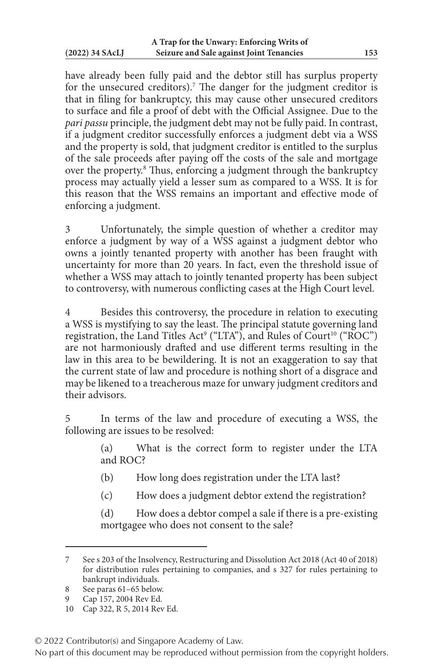have already been fully paid and the debtor still has surplus property for the unsecured creditors).7 The danger for the judgment creditor is that in filing for bankruptcy, this may cause other unsecured creditors to surface and file a proof of debt with the Official Assignee. Due to the *pari passu* principle, the judgment debt may not be fully paid. In contrast, if a judgment creditor successfully enforces a judgment debt via a WSS and the property is sold, that judgment creditor is entitled to the surplus of the sale proceeds after paying off the costs of the sale and mortgage over the property.<sup>8</sup> Thus, enforcing a judgment through the bankruptcy process may actually yield a lesser sum as compared to a WSS. It is for this reason that the WSS remains an important and effective mode of enforcing a judgment.

3 Unfortunately, the simple question of whether a creditor may enforce a judgment by way of a WSS against a judgment debtor who owns a jointly tenanted property with another has been fraught with uncertainty for more than 20 years. In fact, even the threshold issue of whether a WSS may attach to jointly tenanted property has been subject to controversy, with numerous conflicting cases at the High Court level.

4 Besides this controversy, the procedure in relation to executing a WSS is mystifying to say the least. The principal statute governing land registration, the Land Titles Act<sup>9</sup> ("LTA"), and Rules of Court<sup>10</sup> ("ROC") are not harmoniously drafted and use different terms resulting in the law in this area to be bewildering. It is not an exaggeration to say that the current state of law and procedure is nothing short of a disgrace and may be likened to a treacherous maze for unwary judgment creditors and their advisors.

5 In terms of the law and procedure of executing a WSS, the following are issues to be resolved:

> (a) What is the correct form to register under the LTA and ROC?

- (b) How long does registration under the LTA last?
- (c) How does a judgment debtor extend the registration?

(d) How does a debtor compel a sale if there is a pre-existing mortgagee who does not consent to the sale?

9 Cap 157, 2004 Rev Ed.

© 2022 Contributor(s) and Singapore Academy of Law.

<sup>7</sup> See s 203 of the Insolvency, Restructuring and Dissolution Act 2018 (Act 40 of 2018) for distribution rules pertaining to companies, and s 327 for rules pertaining to bankrupt individuals.

<sup>8</sup> See paras 61–65 below.

<sup>10</sup> Cap 322, R 5, 2014 Rev Ed.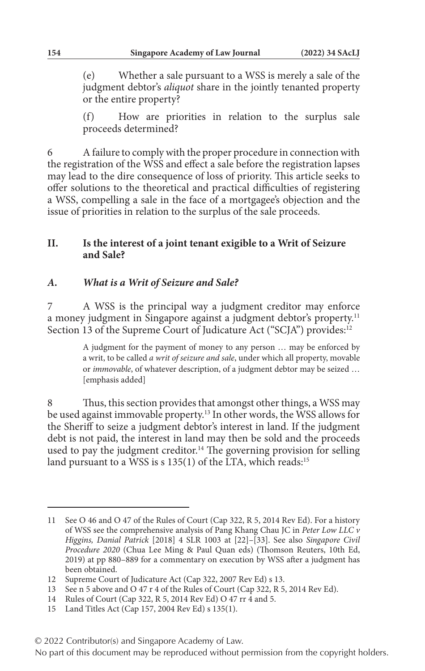(e) Whether a sale pursuant to a WSS is merely a sale of the judgment debtor's *aliquot* share in the jointly tenanted property or the entire property?

(f) How are priorities in relation to the surplus sale proceeds determined?

6 A failure to comply with the proper procedure in connection with the registration of the WSS and effect a sale before the registration lapses may lead to the dire consequence of loss of priority. This article seeks to offer solutions to the theoretical and practical difficulties of registering a WSS, compelling a sale in the face of a mortgagee's objection and the issue of priorities in relation to the surplus of the sale proceeds.

### **II. Is the interest of a joint tenant exigible to a Writ of Seizure and Sale?**

### *A. What is a Writ of Seizure and Sale?*

7 A WSS is the principal way a judgment creditor may enforce a money judgment in Singapore against a judgment debtor's property.<sup>11</sup> Section 13 of the Supreme Court of Judicature Act ("SCJA") provides:<sup>12</sup>

> A judgment for the payment of money to any person … may be enforced by a writ, to be called *a writ of seizure and sale*, under which all property, movable or *immovable*, of whatever description, of a judgment debtor may be seized … [emphasis added]

8 Thus, this section provides that amongst other things, a WSS may be used against immovable property.13 In other words, the WSS allows for the Sheriff to seize a judgment debtor's interest in land. If the judgment debt is not paid, the interest in land may then be sold and the proceeds used to pay the judgment creditor.<sup>14</sup> The governing provision for selling land pursuant to a WSS is s 135(1) of the LTA, which reads:<sup>15</sup>

<sup>11</sup> See O 46 and O 47 of the Rules of Court (Cap 322, R 5, 2014 Rev Ed). For a history of WSS see the comprehensive analysis of Pang Khang Chau JC in *Peter Low LLC v Higgins, Danial Patrick* [2018] 4 SLR 1003 at [22]–[33]. See also *Singapore Civil Procedure 2020* (Chua Lee Ming & Paul Quan eds) (Thomson Reuters, 10th Ed, 2019) at pp 880–889 for a commentary on execution by WSS after a judgment has been obtained.

<sup>12</sup> Supreme Court of Judicature Act (Cap 322, 2007 Rev Ed) s 13.

<sup>13</sup> See n 5 above and O 47 r 4 of the Rules of Court (Cap 322, R 5, 2014 Rev Ed).

<sup>14</sup> Rules of Court (Cap 322, R 5, 2014 Rev Ed) O 47 rr 4 and 5.

<sup>15</sup> Land Titles Act (Cap 157, 2004 Rev Ed) s 135(1).

<sup>© 2022</sup> Contributor(s) and Singapore Academy of Law.

No part of this document may be reproduced without permission from the copyright holders.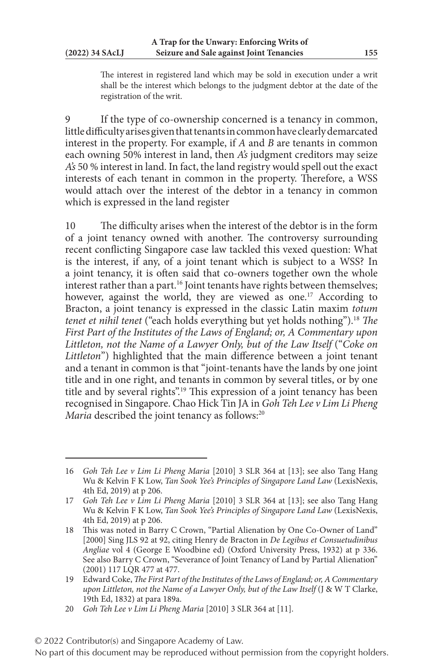The interest in registered land which may be sold in execution under a writ shall be the interest which belongs to the judgment debtor at the date of the registration of the writ.

9 If the type of co-ownership concerned is a tenancy in common, little difficulty arises given that tenants in common have clearly demarcated interest in the property. For example, if *A* and *B* are tenants in common each owning 50% interest in land, then *A's* judgment creditors may seize *A's* 50 % interest in land. In fact, the land registry would spell out the exact interests of each tenant in common in the property. Therefore, a WSS would attach over the interest of the debtor in a tenancy in common which is expressed in the land register

10 The difficulty arises when the interest of the debtor is in the form of a joint tenancy owned with another. The controversy surrounding recent conflicting Singapore case law tackled this vexed question: What is the interest, if any, of a joint tenant which is subject to a WSS? In a joint tenancy, it is often said that co-owners together own the whole interest rather than a part.<sup>16</sup> Joint tenants have rights between themselves; however, against the world, they are viewed as one.<sup>17</sup> According to Bracton, a joint tenancy is expressed in the classic Latin maxim *totum tenet et nihil tenet* ("each holds everything but yet holds nothing").18 *The First Part of the Institutes of the Laws of England; or, A Commentary upon Littleton, not the Name of a Lawyer Only, but of the Law Itself* ("*Coke on Littleton*") highlighted that the main difference between a joint tenant and a tenant in common is that "joint-tenants have the lands by one joint title and in one right, and tenants in common by several titles, or by one title and by several rights".19 This expression of a joint tenancy has been recognised in Singapore. Chao Hick Tin JA in *Goh Teh Lee v Lim Li Pheng Maria* described the joint tenancy as follows:<sup>20</sup>

<sup>16</sup> *Goh Teh Lee v Lim Li Pheng Maria* [2010] 3 SLR 364 at [13]; see also Tang Hang Wu & Kelvin F K Low, *Tan Sook Yee's Principles of Singapore Land Law* (LexisNexis, 4th Ed, 2019) at p 206.

<sup>17</sup> *Goh Teh Lee v Lim Li Pheng Maria* [2010] 3 SLR 364 at [13]; see also Tang Hang Wu & Kelvin F K Low, *Tan Sook Yee's Principles of Singapore Land Law* (LexisNexis, 4th Ed, 2019) at p 206.

<sup>18</sup> This was noted in Barry C Crown, "Partial Alienation by One Co-Owner of Land" [2000] Sing JLS 92 at 92, citing Henry de Bracton in *De Legibus et Consuetudinibus Angliae* vol 4 (George E Woodbine ed) (Oxford University Press, 1932) at p 336. See also Barry C Crown, "Severance of Joint Tenancy of Land by Partial Alienation" (2001) 117 LQR 477 at 477.

<sup>19</sup> Edward Coke, *The First Part of the Institutes of the Laws of England; or, A Commentary upon Littleton, not the Name of a Lawyer Only, but of the Law Itself* (J & W T Clarke, 19th Ed, 1832) at para 189a.

<sup>20</sup> *Goh Teh Lee v Lim Li Pheng Maria* [2010] 3 SLR 364 at [11].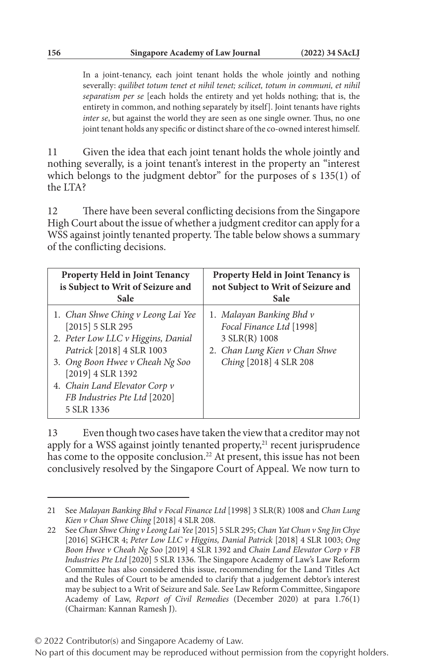In a joint-tenancy, each joint tenant holds the whole jointly and nothing severally: *quilibet totum tenet et nihil tenet; scilicet, totum in communi, et nihil separatism per se* [each holds the entirety and yet holds nothing; that is, the entirety in common, and nothing separately by itself]. Joint tenants have rights *inter se*, but against the world they are seen as one single owner. Thus, no one joint tenant holds any specific or distinct share of the co-owned interest himself.

11 Given the idea that each joint tenant holds the whole jointly and nothing severally, is a joint tenant's interest in the property an "interest which belongs to the judgment debtor" for the purposes of s 135(1) of the LTA?

12 There have been several conflicting decisions from the Singapore High Court about the issue of whether a judgment creditor can apply for a WSS against jointly tenanted property. The table below shows a summary of the conflicting decisions.

| <b>Property Held in Joint Tenancy</b>                                                                                                                                                                                                                              | Property Held in Joint Tenancy is                                                                                                |
|--------------------------------------------------------------------------------------------------------------------------------------------------------------------------------------------------------------------------------------------------------------------|----------------------------------------------------------------------------------------------------------------------------------|
| is Subject to Writ of Seizure and                                                                                                                                                                                                                                  | not Subject to Writ of Seizure and                                                                                               |
| Sale                                                                                                                                                                                                                                                               | Sale                                                                                                                             |
| 1. Chan Shwe Ching v Leong Lai Yee<br>$[2015]$ 5 SLR 295<br>2. Peter Low LLC v Higgins, Danial<br>Patrick [2018] 4 SLR 1003<br>3. Ong Boon Hwee v Cheah Ng Soo<br>[2019] 4 SLR 1392<br>4. Chain Land Elevator Corp v<br>FB Industries Pte Ltd [2020]<br>5 SLR 1336 | 1. Malayan Banking Bhd v<br>Focal Finance Ltd [1998]<br>3 SLR(R) 1008<br>2. Chan Lung Kien v Chan Shwe<br>Ching [2018] 4 SLR 208 |

13 Even though two cases have taken the view that a creditor may not apply for a WSS against jointly tenanted property,<sup>21</sup> recent jurisprudence has come to the opposite conclusion.<sup>22</sup> At present, this issue has not been conclusively resolved by the Singapore Court of Appeal. We now turn to

© 2022 Contributor(s) and Singapore Academy of Law.

<sup>21</sup> See *Malayan Banking Bhd v Focal Finance Ltd* [1998] 3 SLR(R) 1008 and *Chan Lung Kien v Chan Shwe Ching* [2018] 4 SLR 208.

<sup>22</sup> See *Chan Shwe Ching v Leong Lai Yee* [2015] 5 SLR 295; *Chan Yat Chun v Sng Jin Chye* [2016] SGHCR 4; *Peter Low LLC v Higgins, Danial Patrick* [2018] 4 SLR 1003; *Ong Boon Hwee v Cheah Ng Soo* [2019] 4 SLR 1392 and *Chain Land Elevator Corp v FB Industries Pte Ltd* [2020] 5 SLR 1336. The Singapore Academy of Law's Law Reform Committee has also considered this issue, recommending for the Land Titles Act and the Rules of Court to be amended to clarify that a judgement debtor's interest may be subject to a Writ of Seizure and Sale. See Law Reform Committee, Singapore Academy of Law, *Report of Civil Remedies* (December 2020) at para 1.76(1) (Chairman: Kannan Ramesh J).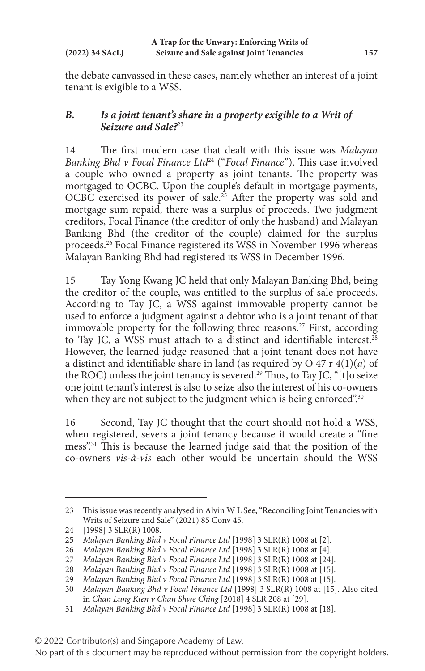the debate canvassed in these cases, namely whether an interest of a joint tenant is exigible to a WSS.

### *B. Is a joint tenant's share in a property exigible to a Writ of Seizure and Sale?*<sup>23</sup>

14 The first modern case that dealt with this issue was *Malayan Banking Bhd v Focal Finance Ltd*24 ("*Focal Finance*"). This case involved a couple who owned a property as joint tenants. The property was mortgaged to OCBC. Upon the couple's default in mortgage payments, OCBC exercised its power of sale.<sup>25</sup> After the property was sold and mortgage sum repaid, there was a surplus of proceeds. Two judgment creditors, Focal Finance (the creditor of only the husband) and Malayan Banking Bhd (the creditor of the couple) claimed for the surplus proceeds.26 Focal Finance registered its WSS in November 1996 whereas Malayan Banking Bhd had registered its WSS in December 1996.

15 Tay Yong Kwang JC held that only Malayan Banking Bhd, being the creditor of the couple, was entitled to the surplus of sale proceeds. According to Tay JC, a WSS against immovable property cannot be used to enforce a judgment against a debtor who is a joint tenant of that immovable property for the following three reasons.<sup>27</sup> First, according to Tay JC, a WSS must attach to a distinct and identifiable interest.<sup>28</sup> However, the learned judge reasoned that a joint tenant does not have a distinct and identifiable share in land (as required by O 47 r 4(1)(*a*) of the ROC) unless the joint tenancy is severed.<sup>29</sup> Thus, to Tay JC, "[t]o seize one joint tenant's interest is also to seize also the interest of his co-owners when they are not subject to the judgment which is being enforced".<sup>30</sup>

16 Second, Tay JC thought that the court should not hold a WSS, when registered, severs a joint tenancy because it would create a "fine mess".31 This is because the learned judge said that the position of the co-owners *vis-à-vis* each other would be uncertain should the WSS

<sup>23</sup> This issue was recently analysed in Alvin W L See, "Reconciling Joint Tenancies with Writs of Seizure and Sale" (2021) 85 Conv 45.

<sup>24</sup> [1998] 3 SLR(R) 1008.

<sup>25</sup> *Malayan Banking Bhd v Focal Finance Ltd* [1998] 3 SLR(R) 1008 at [2].

<sup>26</sup> *Malayan Banking Bhd v Focal Finance Ltd* [1998] 3 SLR(R) 1008 at [4].

<sup>27</sup> *Malayan Banking Bhd v Focal Finance Ltd* [1998] 3 SLR(R) 1008 at [24].

<sup>28</sup> *Malayan Banking Bhd v Focal Finance Ltd* [1998] 3 SLR(R) 1008 at [15].

<sup>29</sup> *Malayan Banking Bhd v Focal Finance Ltd* [1998] 3 SLR(R) 1008 at [15].

<sup>30</sup> *Malayan Banking Bhd v Focal Finance Ltd* [1998] 3 SLR(R) 1008 at [15]. Also cited in *Chan Lung Kien v Chan Shwe Ching* [2018] 4 SLR 208 at [29].

<sup>31</sup> *Malayan Banking Bhd v Focal Finance Ltd* [1998] 3 SLR(R) 1008 at [18].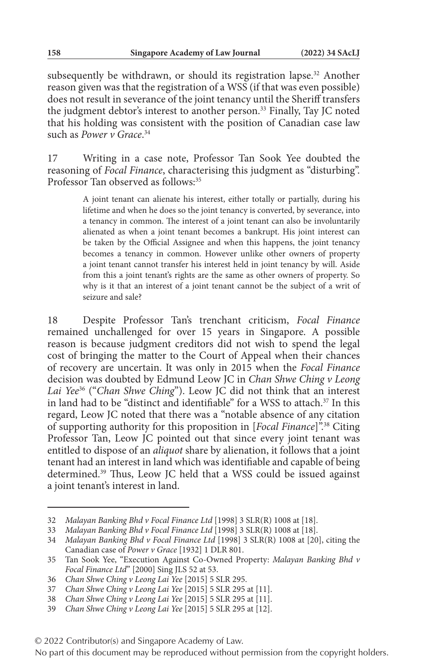subsequently be withdrawn, or should its registration lapse.<sup>32</sup> Another reason given was that the registration of a WSS (if that was even possible) does not result in severance of the joint tenancy until the Sheriff transfers the judgment debtor's interest to another person.<sup>33</sup> Finally, Tay JC noted that his holding was consistent with the position of Canadian case law such as *Power v Grace*. 34

17 Writing in a case note, Professor Tan Sook Yee doubted the reasoning of *Focal Finance*, characterising this judgment as "disturbing". Professor Tan observed as follows:<sup>35</sup>

> A joint tenant can alienate his interest, either totally or partially, during his lifetime and when he does so the joint tenancy is converted, by severance, into a tenancy in common. The interest of a joint tenant can also be involuntarily alienated as when a joint tenant becomes a bankrupt. His joint interest can be taken by the Official Assignee and when this happens, the joint tenancy becomes a tenancy in common. However unlike other owners of property a joint tenant cannot transfer his interest held in joint tenancy by will. Aside from this a joint tenant's rights are the same as other owners of property. So why is it that an interest of a joint tenant cannot be the subject of a writ of seizure and sale?

18 Despite Professor Tan's trenchant criticism, *Focal Finance* remained unchallenged for over 15 years in Singapore. A possible reason is because judgment creditors did not wish to spend the legal cost of bringing the matter to the Court of Appeal when their chances of recovery are uncertain. It was only in 2015 when the *Focal Finance* decision was doubted by Edmund Leow JC in *Chan Shwe Ching v Leong Lai Yee*36 ("*Chan Shwe Ching*"). Leow JC did not think that an interest in land had to be "distinct and identifiable" for a WSS to attach.<sup>37</sup> In this regard, Leow JC noted that there was a "notable absence of any citation of supporting authority for this proposition in [*Focal Finance*]".38 Citing Professor Tan, Leow JC pointed out that since every joint tenant was entitled to dispose of an *aliquot* share by alienation, it follows that a joint tenant had an interest in land which was identifiable and capable of being determined.39 Thus, Leow JC held that a WSS could be issued against a joint tenant's interest in land.

<sup>32</sup> *Malayan Banking Bhd v Focal Finance Ltd* [1998] 3 SLR(R) 1008 at [18].

<sup>33</sup> *Malayan Banking Bhd v Focal Finance Ltd* [1998] 3 SLR(R) 1008 at [18].

<sup>34</sup> *Malayan Banking Bhd v Focal Finance Ltd* [1998] 3 SLR(R) 1008 at [20], citing the Canadian case of *Power v Grace* [1932] 1 DLR 801.

<sup>35</sup> Tan Sook Yee, "Execution Against Co-Owned Property: *Malayan Banking Bhd v Focal Finance Ltd*" [2000] Sing JLS 52 at 53.

<sup>36</sup> *Chan Shwe Ching v Leong Lai Yee* [2015] 5 SLR 295.

<sup>37</sup> *Chan Shwe Ching v Leong Lai Yee* [2015] 5 SLR 295 at [11].

<sup>38</sup> *Chan Shwe Ching v Leong Lai Yee* [2015] 5 SLR 295 at [11].

<sup>39</sup> *Chan Shwe Ching v Leong Lai Yee* [2015] 5 SLR 295 at [12].

No part of this document may be reproduced without permission from the copyright holders.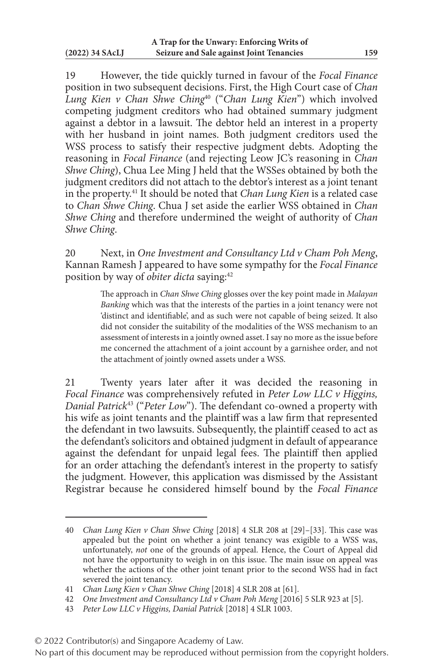19 However, the tide quickly turned in favour of the *Focal Finance* position in two subsequent decisions. First, the High Court case of *Chan Lung Kien v Chan Shwe Ching*40 ("*Chan Lung Kien*") which involved competing judgment creditors who had obtained summary judgment against a debtor in a lawsuit. The debtor held an interest in a property with her husband in joint names. Both judgment creditors used the WSS process to satisfy their respective judgment debts. Adopting the reasoning in *Focal Finance* (and rejecting Leow JC's reasoning in *Chan Shwe Ching*), Chua Lee Ming J held that the WSSes obtained by both the judgment creditors did not attach to the debtor's interest as a joint tenant in the property.41 It should be noted that *Chan Lung Kien* is a related case to *Chan Shwe Ching*. Chua J set aside the earlier WSS obtained in *Chan Shwe Ching* and therefore undermined the weight of authority of *Chan Shwe Ching*.

20 Next, in *One Investment and Consultancy Ltd v Cham Poh Meng*, Kannan Ramesh J appeared to have some sympathy for the *Focal Finance* position by way of *obiter dicta* saying:42

> The approach in *Chan Shwe Ching* glosses over the key point made in *Malayan Banking* which was that the interests of the parties in a joint tenancy were not 'distinct and identifiable', and as such were not capable of being seized. It also did not consider the suitability of the modalities of the WSS mechanism to an assessment of interests in a jointly owned asset. I say no more as the issue before me concerned the attachment of a joint account by a garnishee order, and not the attachment of jointly owned assets under a WSS.

21 Twenty years later after it was decided the reasoning in *Focal Finance* was comprehensively refuted in *Peter Low LLC v Higgins, Danial Patrick*43 ("*Peter Low*"). The defendant co-owned a property with his wife as joint tenants and the plaintiff was a law firm that represented the defendant in two lawsuits. Subsequently, the plaintiff ceased to act as the defendant's solicitors and obtained judgment in default of appearance against the defendant for unpaid legal fees. The plaintiff then applied for an order attaching the defendant's interest in the property to satisfy the judgment. However, this application was dismissed by the Assistant Registrar because he considered himself bound by the *Focal Finance*

<sup>40</sup> *Chan Lung Kien v Chan Shwe Ching* [2018] 4 SLR 208 at [29]–[33]. This case was appealed but the point on whether a joint tenancy was exigible to a WSS was, unfortunately, *not* one of the grounds of appeal. Hence, the Court of Appeal did not have the opportunity to weigh in on this issue. The main issue on appeal was whether the actions of the other joint tenant prior to the second WSS had in fact severed the joint tenancy.

<sup>41</sup> *Chan Lung Kien v Chan Shwe Ching* [2018] 4 SLR 208 at [61].

<sup>42</sup> *One Investment and Consultancy Ltd v Cham Poh Meng* [2016] 5 SLR 923 at [5].

<sup>43</sup> *Peter Low LLC v Higgins, Danial Patrick* [2018] 4 SLR 1003.

<sup>© 2022</sup> Contributor(s) and Singapore Academy of Law.

No part of this document may be reproduced without permission from the copyright holders.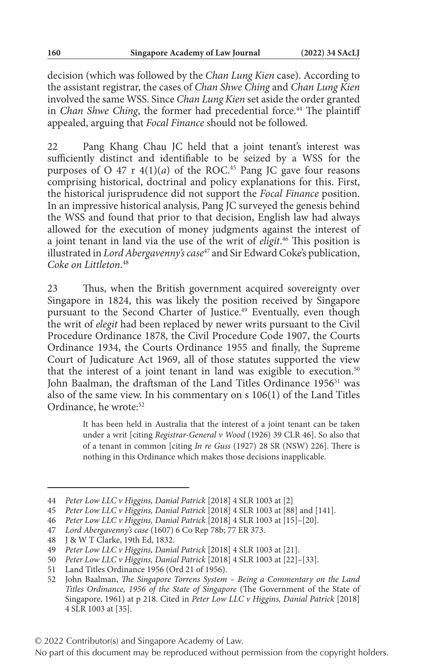decision (which was followed by the *Chan Lung Kien* case). According to the assistant registrar, the cases of *Chan Shwe Ching* and *Chan Lung Kien* involved the same WSS. Since *Chan Lung Kien* set aside the order granted in *Chan Shwe Ching*, the former had precedential force.<sup>44</sup> The plaintiff appealed, arguing that *Focal Finance* should not be followed.

22 Pang Khang Chau JC held that a joint tenant's interest was sufficiently distinct and identifiable to be seized by a WSS for the purposes of O 47 r  $4(1)(a)$  of the ROC.<sup>45</sup> Pang JC gave four reasons comprising historical, doctrinal and policy explanations for this. First, the historical jurisprudence did not support the *Focal Finance* position. In an impressive historical analysis, Pang JC surveyed the genesis behind the WSS and found that prior to that decision, English law had always allowed for the execution of money judgments against the interest of a joint tenant in land via the use of the writ of *eligit*. 46 This position is illustrated in *Lord Abergavenny's case*47 and Sir Edward Coke's publication, *Coke on Littleton*. 48

23 Thus, when the British government acquired sovereignty over Singapore in 1824, this was likely the position received by Singapore pursuant to the Second Charter of Justice.<sup>49</sup> Eventually, even though the writ of *elegit* had been replaced by newer writs pursuant to the Civil Procedure Ordinance 1878, the Civil Procedure Code 1907, the Courts Ordinance 1934, the Courts Ordinance 1955 and finally, the Supreme Court of Judicature Act 1969, all of those statutes supported the view that the interest of a joint tenant in land was exigible to execution.<sup>50</sup> John Baalman, the draftsman of the Land Titles Ordinance 1956<sup>51</sup> was also of the same view. In his commentary on s 106(1) of the Land Titles Ordinance, he wrote:<sup>52</sup>

> It has been held in Australia that the interest of a joint tenant can be taken under a writ [citing *Registrar-General v Wood* (1926) 39 CLR 46]. So also that of a tenant in common [citing *In re Guss* (1927) 28 SR (NSW) 226]. There is nothing in this Ordinance which makes those decisions inapplicable.

50 *Peter Low LLC v Higgins, Danial Patrick* [2018] 4 SLR 1003 at [22]–[33].

<sup>44</sup> *Peter Low LLC v Higgins, Danial Patrick* [2018] 4 SLR 1003 at [2]

<sup>45</sup> *Peter Low LLC v Higgins, Danial Patrick* [2018] 4 SLR 1003 at [88] and [141].

<sup>46</sup> *Peter Low LLC v Higgins, Danial Patrick* [2018] 4 SLR 1003 at [15]–[20].

<sup>47</sup> *Lord Abergavenny's case* (1607) 6 Co Rep 78b; 77 ER 373.

<sup>48</sup> J & W T Clarke, 19th Ed, 1832.

<sup>49</sup> *Peter Low LLC v Higgins, Danial Patrick* [2018] 4 SLR 1003 at [21].

<sup>51</sup> Land Titles Ordinance 1956 (Ord 21 of 1956).

<sup>52</sup> John Baalman, *The Singapore Torrens System – Being a Commentary on the Land Titles Ordinance, 1956 of the State of Singapore* (The Government of the State of Singapore, 1961) at p 218. Cited in *Peter Low LLC v Higgins, Danial Patrick* [2018] 4 SLR 1003 at [35].

No part of this document may be reproduced without permission from the copyright holders.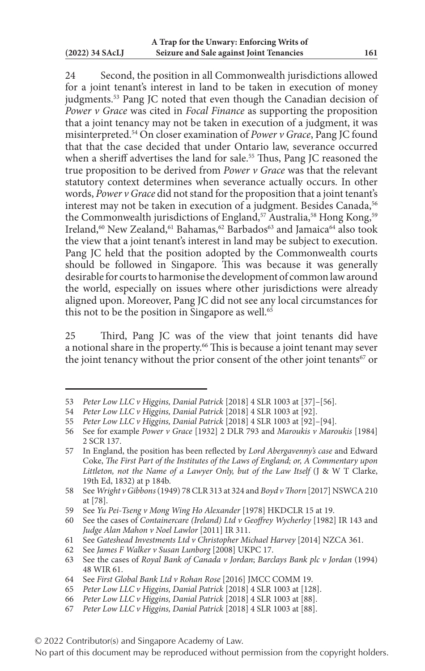24 Second, the position in all Commonwealth jurisdictions allowed for a joint tenant's interest in land to be taken in execution of money judgments.<sup>53</sup> Pang JC noted that even though the Canadian decision of *Power v Grace* was cited in *Focal Finance* as supporting the proposition that a joint tenancy may not be taken in execution of a judgment, it was misinterpreted.54 On closer examination of *Power v Grace*, Pang JC found that that the case decided that under Ontario law, severance occurred when a sheriff advertises the land for sale.<sup>55</sup> Thus, Pang JC reasoned the true proposition to be derived from *Power v Grace* was that the relevant statutory context determines when severance actually occurs. In other words, *Power v Grace* did not stand for the proposition that a joint tenant's interest may not be taken in execution of a judgment. Besides Canada,<sup>56</sup> the Commonwealth jurisdictions of England,<sup>57</sup> Australia,<sup>58</sup> Hong Kong,<sup>59</sup> Ireland,<sup>60</sup> New Zealand,<sup>61</sup> Bahamas,<sup>62</sup> Barbados<sup>63</sup> and Jamaica<sup>64</sup> also took the view that a joint tenant's interest in land may be subject to execution. Pang JC held that the position adopted by the Commonwealth courts should be followed in Singapore. This was because it was generally desirable for courts to harmonise the development of common law around the world, especially on issues where other jurisdictions were already aligned upon. Moreover, Pang JC did not see any local circumstances for this not to be the position in Singapore as well. $65$ 

25 Third, Pang JC was of the view that joint tenants did have a notional share in the property.66 This is because a joint tenant may sever the joint tenancy without the prior consent of the other joint tenants<sup>67</sup> or

<sup>53</sup> *Peter Low LLC v Higgins, Danial Patrick* [2018] 4 SLR 1003 at [37]–[56].

<sup>54</sup> *Peter Low LLC v Higgins, Danial Patrick* [2018] 4 SLR 1003 at [92].

<sup>55</sup> *Peter Low LLC v Higgins, Danial Patrick* [2018] 4 SLR 1003 at [92]–[94].

<sup>56</sup> See for example *Power v Grace* [1932] 2 DLR 793 and *Maroukis v Maroukis* [1984] 2 SCR 137.

<sup>57</sup> In England, the position has been reflected by *Lord Abergavenny's case* and Edward Coke, *The First Part of the Institutes of the Laws of England; or, A Commentary upon Littleton, not the Name of a Lawyer Only, but of the Law Itself* (J & W T Clarke, 19th Ed, 1832) at p 184b.

<sup>58</sup> See *Wright v Gibbons* (1949) 78 CLR 313 at 324 and *Boyd v Thorn* [2017] NSWCA 210 at [78].

<sup>59</sup> See *Yu Pei-Tseng v Mong Wing Ho Alexander* [1978] HKDCLR 15 at 19.

<sup>60</sup> See the cases of *Containercare (Ireland) Ltd v Geoffrey Wycherley* [1982] IR 143 and *Judge Alan Mahon v Noel Lawlor* [2011] IR 311.

<sup>61</sup> See *Gateshead Investments Ltd v Christopher Michael Harvey* [2014] NZCA 361.

<sup>62</sup> See *James F Walker v Susan Lunborg* [2008] UKPC 17.

<sup>63</sup> See the cases of *Royal Bank of Canada v Jordan*; *Barclays Bank plc v Jordan* (1994) 48 WIR 61.

<sup>64</sup> See *First Global Bank Ltd v Rohan Rose* [2016] JMCC COMM 19.

<sup>65</sup> *Peter Low LLC v Higgins, Danial Patrick* [2018] 4 SLR 1003 at [128].

<sup>66</sup> *Peter Low LLC v Higgins, Danial Patrick* [2018] 4 SLR 1003 at [88].

<sup>67</sup> *Peter Low LLC v Higgins, Danial Patrick* [2018] 4 SLR 1003 at [88].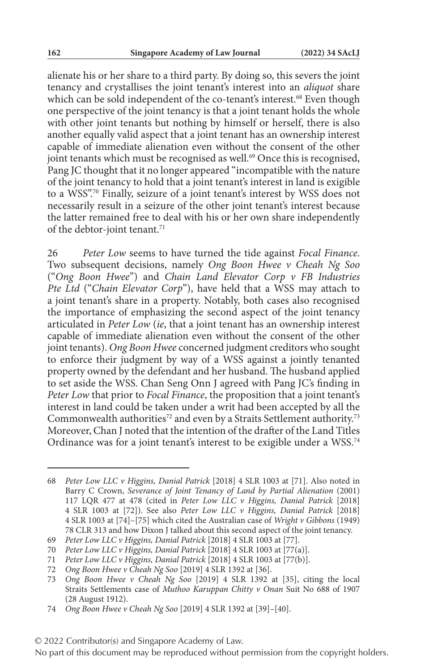alienate his or her share to a third party. By doing so, this severs the joint tenancy and crystallises the joint tenant's interest into an *aliquot* share which can be sold independent of the co-tenant's interest.<sup>68</sup> Even though one perspective of the joint tenancy is that a joint tenant holds the whole with other joint tenants but nothing by himself or herself, there is also another equally valid aspect that a joint tenant has an ownership interest capable of immediate alienation even without the consent of the other joint tenants which must be recognised as well.<sup>69</sup> Once this is recognised, Pang JC thought that it no longer appeared "incompatible with the nature of the joint tenancy to hold that a joint tenant's interest in land is exigible to a WSS".70 Finally, seizure of a joint tenant's interest by WSS does not necessarily result in a seizure of the other joint tenant's interest because the latter remained free to deal with his or her own share independently of the debtor-joint tenant.<sup>71</sup>

26 *Peter Low* seems to have turned the tide against *Focal Finance*. Two subsequent decisions, namely *Ong Boon Hwee v Cheah Ng Soo* ("*Ong Boon Hwee*") and *Chain Land Elevator Corp v FB Industries Pte Ltd* ("*Chain Elevator Corp*"), have held that a WSS may attach to a joint tenant's share in a property. Notably, both cases also recognised the importance of emphasizing the second aspect of the joint tenancy articulated in *Peter Low* (*ie*, that a joint tenant has an ownership interest capable of immediate alienation even without the consent of the other joint tenants). *Ong Boon Hwee* concerned judgment creditors who sought to enforce their judgment by way of a WSS against a jointly tenanted property owned by the defendant and her husband. The husband applied to set aside the WSS. Chan Seng Onn J agreed with Pang JC's finding in *Peter Low* that prior to *Focal Finance*, the proposition that a joint tenant's interest in land could be taken under a writ had been accepted by all the Commonwealth authorities<sup>72</sup> and even by a Straits Settlement authority.<sup>73</sup> Moreover, Chan J noted that the intention of the drafter of the Land Titles Ordinance was for a joint tenant's interest to be exigible under a WSS.74

<sup>68</sup> *Peter Low LLC v Higgins, Danial Patrick* [2018] 4 SLR 1003 at [71]. Also noted in Barry C Crown, *Severance of Joint Tenancy of Land by Partial Alienation* (2001) 117 LQR 477 at 478 (cited in *Peter Low LLC v Higgins, Danial Patrick* [2018] 4 SLR 1003 at [72]). See also *Peter Low LLC v Higgins, Danial Patrick* [2018] 4 SLR 1003 at [74]–[75] which cited the Australian case of *Wright v Gibbons* (1949) 78 CLR 313 and how Dixon J talked about this second aspect of the joint tenancy.

<sup>69</sup> *Peter Low LLC v Higgins, Danial Patrick* [2018] 4 SLR 1003 at [77].

<sup>70</sup> *Peter Low LLC v Higgins, Danial Patrick* [2018] 4 SLR 1003 at [77(a)].

<sup>71</sup> *Peter Low LLC v Higgins, Danial Patrick* [2018] 4 SLR 1003 at [77(b)].

<sup>72</sup> *Ong Boon Hwee v Cheah Ng Soo* [2019] 4 SLR 1392 at [36].

<sup>73</sup> *Ong Boon Hwee v Cheah Ng Soo* [2019] 4 SLR 1392 at [35], citing the local Straits Settlements case of *Muthoo Karuppan Chitty v Onan* Suit No 688 of 1907 (28 August 1912).

<sup>74</sup> *Ong Boon Hwee v Cheah Ng Soo* [2019] 4 SLR 1392 at [39]–[40].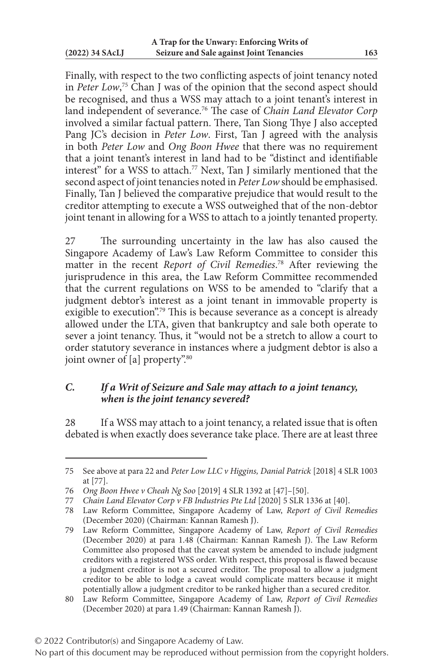Finally, with respect to the two conflicting aspects of joint tenancy noted in *Peter Low*, 75 Chan J was of the opinion that the second aspect should be recognised, and thus a WSS may attach to a joint tenant's interest in land independent of severance.76 The case of *Chain Land Elevator Corp* involved a similar factual pattern. There, Tan Siong Thye J also accepted Pang JC's decision in *Peter Low*. First, Tan J agreed with the analysis in both *Peter Low* and *Ong Boon Hwee* that there was no requirement that a joint tenant's interest in land had to be "distinct and identifiable interest" for a WSS to attach.77 Next, Tan J similarly mentioned that the second aspect of joint tenancies noted in *Peter Low* should be emphasised. Finally, Tan J believed the comparative prejudice that would result to the creditor attempting to execute a WSS outweighed that of the non-debtor joint tenant in allowing for a WSS to attach to a jointly tenanted property.

27 The surrounding uncertainty in the law has also caused the Singapore Academy of Law's Law Reform Committee to consider this matter in the recent *Report of Civil Remedies*. 78 After reviewing the jurisprudence in this area, the Law Reform Committee recommended that the current regulations on WSS to be amended to "clarify that a judgment debtor's interest as a joint tenant in immovable property is exigible to execution".<sup>79</sup> This is because severance as a concept is already allowed under the LTA, given that bankruptcy and sale both operate to sever a joint tenancy. Thus, it "would not be a stretch to allow a court to order statutory severance in instances where a judgment debtor is also a joint owner of  $[a]$  property".<sup>80</sup>

## *C. If a Writ of Seizure and Sale may attach to a joint tenancy, when is the joint tenancy severed?*

28 If a WSS may attach to a joint tenancy, a related issue that is often debated is when exactly does severance take place. There are at least three

<sup>75</sup> See above at para 22 and *Peter Low LLC v Higgins, Danial Patrick* [2018] 4 SLR 1003 at [77].

<sup>76</sup> *Ong Boon Hwee v Cheah Ng Soo* [2019] 4 SLR 1392 at [47]–[50].

<sup>77</sup> *Chain Land Elevator Corp v FB Industries Pte Ltd* [2020] 5 SLR 1336 at [40].

<sup>78</sup> Law Reform Committee, Singapore Academy of Law, *Report of Civil Remedies* (December 2020) (Chairman: Kannan Ramesh J).

<sup>79</sup> Law Reform Committee, Singapore Academy of Law, *Report of Civil Remedies* (December 2020) at para 1.48 (Chairman: Kannan Ramesh J). The Law Reform Committee also proposed that the caveat system be amended to include judgment creditors with a registered WSS order. With respect, this proposal is flawed because a judgment creditor is not a secured creditor. The proposal to allow a judgment creditor to be able to lodge a caveat would complicate matters because it might potentially allow a judgment creditor to be ranked higher than a secured creditor.

<sup>80</sup> Law Reform Committee, Singapore Academy of Law, *Report of Civil Remedies* (December 2020) at para 1.49 (Chairman: Kannan Ramesh J).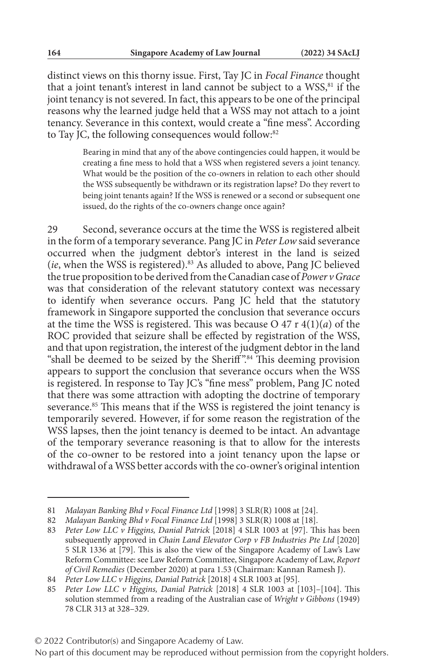distinct views on this thorny issue. First, Tay JC in *Focal Finance* thought that a joint tenant's interest in land cannot be subject to a WSS,<sup>81</sup> if the joint tenancy is not severed. In fact, this appears to be one of the principal reasons why the learned judge held that a WSS may not attach to a joint tenancy. Severance in this context, would create a "fine mess". According to Tay JC, the following consequences would follow:<sup>82</sup>

> Bearing in mind that any of the above contingencies could happen, it would be creating a fine mess to hold that a WSS when registered severs a joint tenancy. What would be the position of the co-owners in relation to each other should the WSS subsequently be withdrawn or its registration lapse? Do they revert to being joint tenants again? If the WSS is renewed or a second or subsequent one issued, do the rights of the co-owners change once again?

29 Second, severance occurs at the time the WSS is registered albeit in the form of a temporary severance. Pang JC in *Peter Low* said severance occurred when the judgment debtor's interest in the land is seized (*ie*, when the WSS is registered).83 As alluded to above, Pang JC believed the true proposition to be derived from the Canadian case of *Power v Grace* was that consideration of the relevant statutory context was necessary to identify when severance occurs. Pang JC held that the statutory framework in Singapore supported the conclusion that severance occurs at the time the WSS is registered. This was because O 47 r 4(1)(*a*) of the ROC provided that seizure shall be effected by registration of the WSS, and that upon registration, the interest of the judgment debtor in the land "shall be deemed to be seized by the Sheriff".<sup>84</sup> This deeming provision appears to support the conclusion that severance occurs when the WSS is registered. In response to Tay JC's "fine mess" problem, Pang JC noted that there was some attraction with adopting the doctrine of temporary severance.<sup>85</sup> This means that if the WSS is registered the joint tenancy is temporarily severed. However, if for some reason the registration of the WSS lapses, then the joint tenancy is deemed to be intact. An advantage of the temporary severance reasoning is that to allow for the interests of the co-owner to be restored into a joint tenancy upon the lapse or withdrawal of a WSS better accords with the co-owner's original intention

<sup>81</sup> *Malayan Banking Bhd v Focal Finance Ltd* [1998] 3 SLR(R) 1008 at [24].

<sup>82</sup> *Malayan Banking Bhd v Focal Finance Ltd* [1998] 3 SLR(R) 1008 at [18].

<sup>83</sup> *Peter Low LLC v Higgins, Danial Patrick* [2018] 4 SLR 1003 at [97]. This has been subsequently approved in *Chain Land Elevator Corp v FB Industries Pte Ltd* [2020] 5 SLR 1336 at [79]. This is also the view of the Singapore Academy of Law's Law Reform Committee: see Law Reform Committee, Singapore Academy of Law, *Report of Civil Remedies* (December 2020) at para 1.53 (Chairman: Kannan Ramesh J).

<sup>84</sup> *Peter Low LLC v Higgins, Danial Patrick* [2018] 4 SLR 1003 at [95].

<sup>85</sup> *Peter Low LLC v Higgins, Danial Patrick* [2018] 4 SLR 1003 at [103]–[104]. This solution stemmed from a reading of the Australian case of *Wright v Gibbons* (1949) 78 CLR 313 at 328–329.

No part of this document may be reproduced without permission from the copyright holders.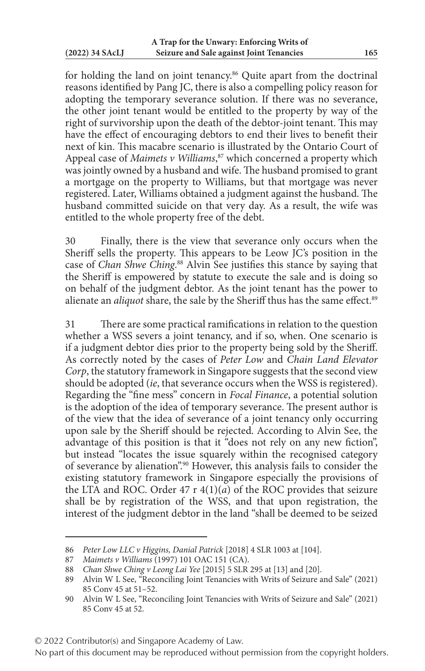for holding the land on joint tenancy.<sup>86</sup> Quite apart from the doctrinal reasons identified by Pang JC, there is also a compelling policy reason for adopting the temporary severance solution. If there was no severance, the other joint tenant would be entitled to the property by way of the right of survivorship upon the death of the debtor-joint tenant. This may have the effect of encouraging debtors to end their lives to benefit their next of kin. This macabre scenario is illustrated by the Ontario Court of Appeal case of *Maimets v Williams*, 87 which concerned a property which was jointly owned by a husband and wife. The husband promised to grant a mortgage on the property to Williams, but that mortgage was never registered. Later, Williams obtained a judgment against the husband. The husband committed suicide on that very day. As a result, the wife was entitled to the whole property free of the debt.

30 Finally, there is the view that severance only occurs when the Sheriff sells the property. This appears to be Leow JC's position in the case of *Chan Shwe Ching*. 88 Alvin See justifies this stance by saying that the Sheriff is empowered by statute to execute the sale and is doing so on behalf of the judgment debtor. As the joint tenant has the power to alienate an *aliquot* share, the sale by the Sheriff thus has the same effect.<sup>89</sup>

31 There are some practical ramifications in relation to the question whether a WSS severs a joint tenancy, and if so, when. One scenario is if a judgment debtor dies prior to the property being sold by the Sheriff. As correctly noted by the cases of *Peter Low* and *Chain Land Elevator Corp*, the statutory framework in Singapore suggests that the second view should be adopted (*ie*, that severance occurs when the WSS is registered). Regarding the "fine mess" concern in *Focal Finance*, a potential solution is the adoption of the idea of temporary severance. The present author is of the view that the idea of severance of a joint tenancy only occurring upon sale by the Sheriff should be rejected. According to Alvin See, the advantage of this position is that it "does not rely on any new fiction", but instead "locates the issue squarely within the recognised category of severance by alienation".90 However, this analysis fails to consider the existing statutory framework in Singapore especially the provisions of the LTA and ROC. Order 47 r 4(1)(*a*) of the ROC provides that seizure shall be by registration of the WSS, and that upon registration, the interest of the judgment debtor in the land "shall be deemed to be seized

<sup>86</sup> *Peter Low LLC v Higgins, Danial Patrick* [2018] 4 SLR 1003 at [104].

<sup>87</sup> *Maimets v Williams* (1997) 101 OAC 151 (CA).

<sup>88</sup> *Chan Shwe Ching v Leong Lai Yee* [2015] 5 SLR 295 at [13] and [20].

<sup>89</sup> Alvin W L See, "Reconciling Joint Tenancies with Writs of Seizure and Sale" (2021) 85 Conv 45 at 51–52.

<sup>90</sup> Alvin W L See, "Reconciling Joint Tenancies with Writs of Seizure and Sale" (2021) 85 Conv 45 at 52.

No part of this document may be reproduced without permission from the copyright holders.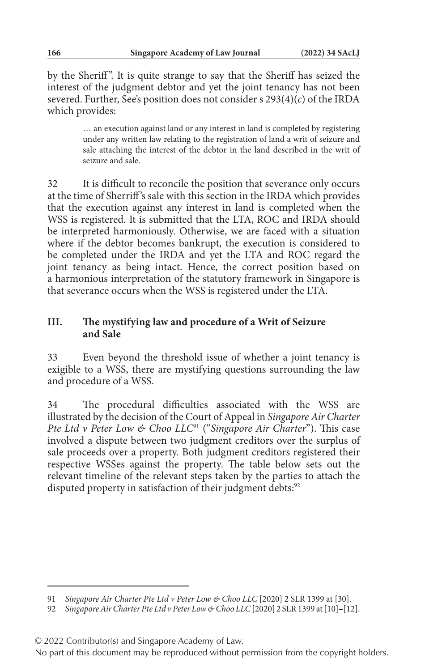by the Sheriff ". It is quite strange to say that the Sheriff has seized the interest of the judgment debtor and yet the joint tenancy has not been severed. Further, See's position does not consider s 293(4)(*c*) of the IRDA which provides:

> … an execution against land or any interest in land is completed by registering under any written law relating to the registration of land a writ of seizure and sale attaching the interest of the debtor in the land described in the writ of seizure and sale.

32 It is difficult to reconcile the position that severance only occurs at the time of Sherriff 's sale with this section in the IRDA which provides that the execution against any interest in land is completed when the WSS is registered. It is submitted that the LTA, ROC and IRDA should be interpreted harmoniously. Otherwise, we are faced with a situation where if the debtor becomes bankrupt, the execution is considered to be completed under the IRDA and yet the LTA and ROC regard the joint tenancy as being intact. Hence, the correct position based on a harmonious interpretation of the statutory framework in Singapore is that severance occurs when the WSS is registered under the LTA.

### **III. The mystifying law and procedure of a Writ of Seizure and Sale**

33 Even beyond the threshold issue of whether a joint tenancy is exigible to a WSS, there are mystifying questions surrounding the law and procedure of a WSS.

34 The procedural difficulties associated with the WSS are illustrated by the decision of the Court of Appeal in *Singapore Air Charter Pte Ltd v Peter Low & Choo LLC*91 ("*Singapore Air Charter*"). This case involved a dispute between two judgment creditors over the surplus of sale proceeds over a property. Both judgment creditors registered their respective WSSes against the property. The table below sets out the relevant timeline of the relevant steps taken by the parties to attach the disputed property in satisfaction of their judgment debts:<sup>92</sup>

<sup>91</sup> *Singapore Air Charter Pte Ltd v Peter Low & Choo LLC* [2020] 2 SLR 1399 at [30].

<sup>92</sup> *Singapore Air Charter Pte Ltd v Peter Low & Choo LLC* [2020] 2 SLR 1399 at [10]–[12].

<sup>© 2022</sup> Contributor(s) and Singapore Academy of Law.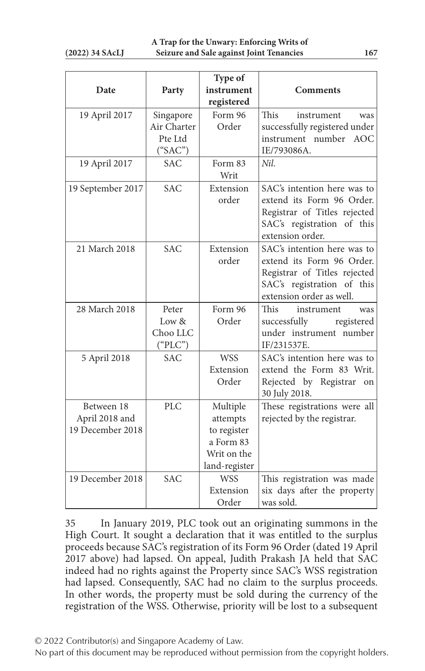| Date                                             | Party                                          | Type of<br>instrument<br>registered                                              | <b>Comments</b>                                                                                                                                    |
|--------------------------------------------------|------------------------------------------------|----------------------------------------------------------------------------------|----------------------------------------------------------------------------------------------------------------------------------------------------|
| 19 April 2017                                    | Singapore<br>Air Charter<br>Pte Ltd<br>("SAC") | Form 96<br>Order                                                                 | This<br>instrument<br>was<br>successfully registered under<br>instrument number AOC<br>IE/793086A.                                                 |
| 19 April 2017                                    | <b>SAC</b>                                     | Form 83<br>Writ                                                                  | Nil.                                                                                                                                               |
| 19 September 2017                                | <b>SAC</b>                                     | Extension<br>order                                                               | SAC's intention here was to<br>extend its Form 96 Order.<br>Registrar of Titles rejected<br>SAC's registration of this<br>extension order.         |
| 21 March 2018                                    | <b>SAC</b>                                     | Extension<br>order                                                               | SAC's intention here was to<br>extend its Form 96 Order.<br>Registrar of Titles rejected<br>SAC's registration of this<br>extension order as well. |
| 28 March 2018                                    | Peter<br>Low &<br>Choo LLC<br>("PLC")          | Form 96<br>Order                                                                 | This<br>instrument<br>was<br>successfully<br>registered<br>under instrument number<br>IF/231537E.                                                  |
| 5 April 2018                                     | <b>SAC</b>                                     | <b>WSS</b><br>Extension<br>Order                                                 | SAC's intention here was to<br>extend the Form 83 Writ.<br>Rejected by Registrar on<br>30 July 2018.                                               |
| Between 18<br>April 2018 and<br>19 December 2018 | <b>PLC</b>                                     | Multiple<br>attempts<br>to register<br>a Form 83<br>Writ on the<br>land-register | These registrations were all<br>rejected by the registrar.                                                                                         |
| 19 December 2018                                 | <b>SAC</b>                                     | <b>WSS</b><br>Extension<br>Order                                                 | This registration was made<br>six days after the property<br>was sold.                                                                             |

35 In January 2019, PLC took out an originating summons in the High Court. It sought a declaration that it was entitled to the surplus proceeds because SAC's registration of its Form 96 Order (dated 19 April 2017 above) had lapsed. On appeal, Judith Prakash JA held that SAC indeed had no rights against the Property since SAC's WSS registration had lapsed. Consequently, SAC had no claim to the surplus proceeds. In other words, the property must be sold during the currency of the registration of the WSS. Otherwise, priority will be lost to a subsequent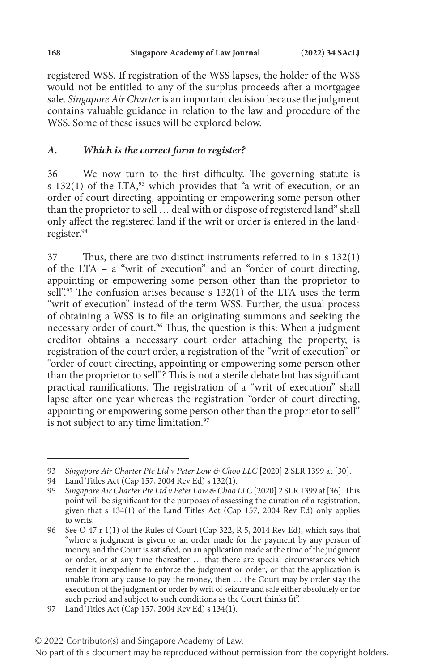registered WSS. If registration of the WSS lapses, the holder of the WSS would not be entitled to any of the surplus proceeds after a mortgagee sale. *Singapore Air Charter* is an important decision because the judgment contains valuable guidance in relation to the law and procedure of the WSS. Some of these issues will be explored below.

## *A. Which is the correct form to register?*

36 We now turn to the first difficulty. The governing statute is s 132(1) of the LTA, $93$  which provides that "a writ of execution, or an order of court directing, appointing or empowering some person other than the proprietor to sell … deal with or dispose of registered land" shall only affect the registered land if the writ or order is entered in the landregister.94

37 Thus, there are two distinct instruments referred to in s 132(1) of the LTA – a "writ of execution" and an "order of court directing, appointing or empowering some person other than the proprietor to sell".<sup>95</sup> The confusion arises because s 132(1) of the LTA uses the term "writ of execution" instead of the term WSS. Further, the usual process of obtaining a WSS is to file an originating summons and seeking the necessary order of court.<sup>96</sup> Thus, the question is this: When a judgment creditor obtains a necessary court order attaching the property, is registration of the court order, a registration of the "writ of execution" or "order of court directing, appointing or empowering some person other than the proprietor to sell"? This is not a sterile debate but has significant practical ramifications. The registration of a "writ of execution" shall lapse after one year whereas the registration "order of court directing, appointing or empowering some person other than the proprietor to sell" is not subject to any time limitation.<sup>97</sup>

<sup>93</sup> *Singapore Air Charter Pte Ltd v Peter Low & Choo LLC* [2020] 2 SLR 1399 at [30].

<sup>94</sup> Land Titles Act (Cap 157, 2004 Rev Ed) s 132(1).

<sup>95</sup> *Singapore Air Charter Pte Ltd v Peter Low & Choo LLC* [2020] 2 SLR 1399 at [36]. This point will be significant for the purposes of assessing the duration of a registration, given that s 134(1) of the Land Titles Act (Cap 157, 2004 Rev Ed) only applies to writs.

<sup>96</sup> See O 47 r 1(1) of the Rules of Court (Cap 322, R 5, 2014 Rev Ed), which says that "where a judgment is given or an order made for the payment by any person of money, and the Court is satisfied, on an application made at the time of the judgment or order, or at any time thereafter … that there are special circumstances which render it inexpedient to enforce the judgment or order; or that the application is unable from any cause to pay the money, then … the Court may by order stay the execution of the judgment or order by writ of seizure and sale either absolutely or for such period and subject to such conditions as the Court thinks fit".

<sup>97</sup> Land Titles Act (Cap 157, 2004 Rev Ed) s 134(1).

<sup>© 2022</sup> Contributor(s) and Singapore Academy of Law.

No part of this document may be reproduced without permission from the copyright holders.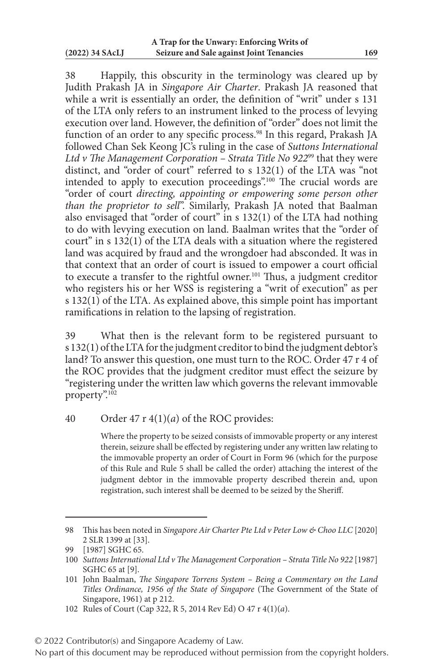38 Happily, this obscurity in the terminology was cleared up by Judith Prakash JA in *Singapore Air Charter*. Prakash JA reasoned that while a writ is essentially an order, the definition of "writ" under s 131 of the LTA only refers to an instrument linked to the process of levying execution over land. However, the definition of "order" does not limit the function of an order to any specific process.<sup>98</sup> In this regard, Prakash JA followed Chan Sek Keong JC's ruling in the case of *Suttons International Ltd v The Management Corporation – Strata Title No 922*99 that they were distinct, and "order of court" referred to s 132(1) of the LTA was "not intended to apply to execution proceedings".100 The crucial words are "order of court *directing, appointing or empowering some person other than the proprietor to sell*". Similarly, Prakash JA noted that Baalman also envisaged that "order of court" in s 132(1) of the LTA had nothing to do with levying execution on land. Baalman writes that the "order of court" in s 132(1) of the LTA deals with a situation where the registered land was acquired by fraud and the wrongdoer had absconded. It was in that context that an order of court is issued to empower a court official to execute a transfer to the rightful owner.<sup>101</sup> Thus, a judgment creditor who registers his or her WSS is registering a "writ of execution" as per s 132(1) of the LTA. As explained above, this simple point has important ramifications in relation to the lapsing of registration.

39 What then is the relevant form to be registered pursuant to s 132(1) of the LTA for the judgment creditor to bind the judgment debtor's land? To answer this question, one must turn to the ROC. Order 47 r 4 of the ROC provides that the judgment creditor must effect the seizure by "registering under the written law which governs the relevant immovable property".<sup>102</sup>

### 40 Order 47 r 4(1)(*a*) of the ROC provides:

Where the property to be seized consists of immovable property or any interest therein, seizure shall be effected by registering under any written law relating to the immovable property an order of Court in Form 96 (which for the purpose of this Rule and Rule 5 shall be called the order) attaching the interest of the judgment debtor in the immovable property described therein and, upon registration, such interest shall be deemed to be seized by the Sheriff.

<sup>98</sup> This has been noted in *Singapore Air Charter Pte Ltd v Peter Low & Choo LLC* [2020] 2 SLR 1399 at [33].

<sup>99</sup> [1987] SGHC 65.

<sup>100</sup> *Suttons International Ltd v The Management Corporation – Strata Title No 922* [1987] SGHC 65 at [9].

<sup>101</sup> John Baalman, *The Singapore Torrens System – Being a Commentary on the Land Titles Ordinance, 1956 of the State of Singapore* (The Government of the State of Singapore, 1961) at p 212.

<sup>102</sup> Rules of Court (Cap 322, R 5, 2014 Rev Ed) O 47 r 4(1)(*a*).

<sup>© 2022</sup> Contributor(s) and Singapore Academy of Law.

No part of this document may be reproduced without permission from the copyright holders.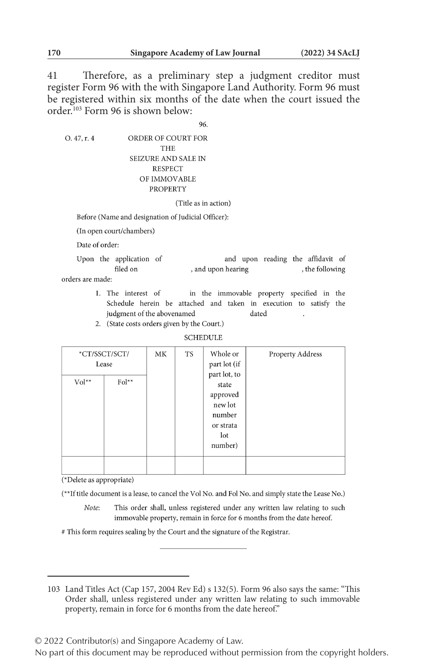41 Therefore, as a preliminary step a judgment creditor must register Form 96 with the with Singapore Land Authority. Form 96 must be registered within six months of the date when the court issued the order.103 Form 96 is shown below:

96

 $O.47, r.4$ ORDER OF COURT FOR **THE SEIZURE AND SALE IN RESPECT** OF IMMOVABLE **PROPERTY** 

#### (Title as in action)

Before (Name and designation of Judicial Officer):

(In open court/chambers)

Date of order:

Upon the application of and upon reading the affidavit of filed on , and upon hearing , the following orders are made:

- 1. The interest of in the immovable property specified in the Schedule herein be attached and taken in execution to satisfy the judgment of the abovenamed dated
- 2. (State costs orders given by the Court.)

#### **SCHEDULE**

| $Vol^{**}$<br>$Fol^{**}$<br>state<br>approved<br>new lot<br>number<br>or strata<br>lot<br>number) | *CT/SSCT/SCT/<br>Lease | МK | <b>TS</b> | Whole or<br>part lot (if<br>part lot, to | Property Address |
|---------------------------------------------------------------------------------------------------|------------------------|----|-----------|------------------------------------------|------------------|
|                                                                                                   |                        |    |           |                                          |                  |

(\*Delete as appropriate)

(\*\*If title document is a lease, to cancel the Vol No. and Fol No. and simply state the Lease No.)

- Note: This order shall, unless registered under any written law relating to such immovable property, remain in force for 6 months from the date hereof.
- # This form requires sealing by the Court and the signature of the Registrar.

© 2022 Contributor(s) and Singapore Academy of Law.

<sup>103</sup> Land Titles Act (Cap 157, 2004 Rev Ed) s 132(5). Form 96 also says the same: "This Order shall, unless registered under any written law relating to such immovable property, remain in force for 6 months from the date hereof."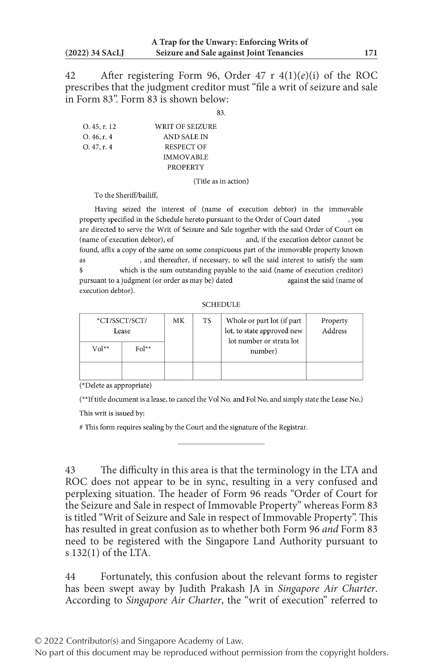42 After registering Form 96, Order 47 r 4(1)(*e*)(i) of the ROC prescribes that the judgment creditor must "file a writ of seizure and sale in Form 83". Form 83 is shown below:

 $83$ 

| $O.45$ , r. 12 | WRIT OF SEIZURE  |
|----------------|------------------|
| O.46, r.4      | AND SALE IN      |
| O.47, r.4      | RESPECT OF       |
|                | <b>IMMOVABLE</b> |
|                | <b>PROPERTY</b>  |

(Title as in action)

To the Sheriff/bailiff.

Having seized the interest of (name of execution debtor) in the immovable property specified in the Schedule hereto pursuant to the Order of Court dated vou are directed to serve the Writ of Seizure and Sale together with the said Order of Court on (name of execution debtor), of and, if the execution debtor cannot be found, affix a copy of the same on some conspicuous part of the immovable property known , and thereafter, if necessary, to sell the said interest to satisfy the sum **as** which is the sum outstanding payable to the said (name of execution creditor)  $\mathbf{\hat{s}}$ pursuant to a judgment (or order as may be) dated against the said (name of execution debtor).

**SCHEDULE** 

| $Vol^{**}$ | *CT/SSCT/SCT/<br>Lease<br>$Fol**$ | MK | <b>TS</b> | Whole or part lot (if part)<br>lot, to state approved new<br>lot number or strata lot<br>number) | Property<br>Address |
|------------|-----------------------------------|----|-----------|--------------------------------------------------------------------------------------------------|---------------------|
|            |                                   |    |           |                                                                                                  |                     |

(\*Delete as appropriate)

(\*\*If title document is a lease, to cancel the Vol No. and Fol No. and simply state the Lease No.)

This writ is issued by:

# This form requires sealing by the Court and the signature of the Registrar.

43 The difficulty in this area is that the terminology in the LTA and ROC does not appear to be in sync, resulting in a very confused and perplexing situation. The header of Form 96 reads "Order of Court for the Seizure and Sale in respect of Immovable Property" whereas Form 83 is titled "Writ of Seizure and Sale in respect of Immovable Property". This has resulted in great confusion as to whether both Form 96 *and* Form 83 need to be registered with the Singapore Land Authority pursuant to s 132(1) of the LTA.

44 Fortunately, this confusion about the relevant forms to register has been swept away by Judith Prakash JA in *Singapore Air Charter*. According to *Singapore Air Charter*, the "writ of execution" referred to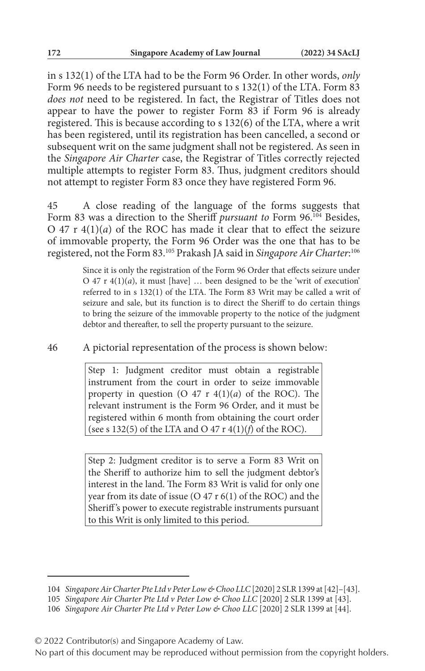in s 132(1) of the LTA had to be the Form 96 Order. In other words, *only* Form 96 needs to be registered pursuant to s 132(1) of the LTA. Form 83 *does not* need to be registered. In fact, the Registrar of Titles does not appear to have the power to register Form 83 if Form 96 is already registered. This is because according to s 132(6) of the LTA, where a writ has been registered, until its registration has been cancelled, a second or subsequent writ on the same judgment shall not be registered. As seen in the *Singapore Air Charter* case, the Registrar of Titles correctly rejected multiple attempts to register Form 83. Thus, judgment creditors should not attempt to register Form 83 once they have registered Form 96.

45 A close reading of the language of the forms suggests that Form 83 was a direction to the Sheriff *pursuant to* Form 96.<sup>104</sup> Besides, O  $47$  r  $4(1)(a)$  of the ROC has made it clear that to effect the seizure of immovable property, the Form 96 Order was the one that has to be registered, not the Form 83.105 Prakash JA said in *Singapore Air Charter*: 106

> Since it is only the registration of the Form 96 Order that effects seizure under O 47 r  $4(1)(a)$ , it must [have] ... been designed to be the 'writ of execution' referred to in s 132(1) of the LTA. The Form 83 Writ may be called a writ of seizure and sale, but its function is to direct the Sheriff to do certain things to bring the seizure of the immovable property to the notice of the judgment debtor and thereafter, to sell the property pursuant to the seizure.

### 46 A pictorial representation of the process is shown below:

Step 1: Judgment creditor must obtain a registrable instrument from the court in order to seize immovable property in question (O  $47$  r  $4(1)(a)$  of the ROC). The relevant instrument is the Form 96 Order, and it must be registered within 6 month from obtaining the court order (see s 132(5) of the LTA and O 47 r 4(1)(*f*) of the ROC).

Step 2: Judgment creditor is to serve a Form 83 Writ on the Sheriff to authorize him to sell the judgment debtor's interest in the land. The Form 83 Writ is valid for only one year from its date of issue (O 47 r 6(1) of the ROC) and the Sheriff 's power to execute registrable instruments pursuant to this Writ is only limited to this period.

<sup>104</sup> *Singapore Air Charter Pte Ltd v Peter Low & Choo LLC* [2020] 2 SLR 1399 at [42]–[43].

<sup>105</sup> *Singapore Air Charter Pte Ltd v Peter Low & Choo LLC* [2020] 2 SLR 1399 at [43].

<sup>106</sup> *Singapore Air Charter Pte Ltd v Peter Low & Choo LLC* [2020] 2 SLR 1399 at [44].

<sup>© 2022</sup> Contributor(s) and Singapore Academy of Law.

No part of this document may be reproduced without permission from the copyright holders.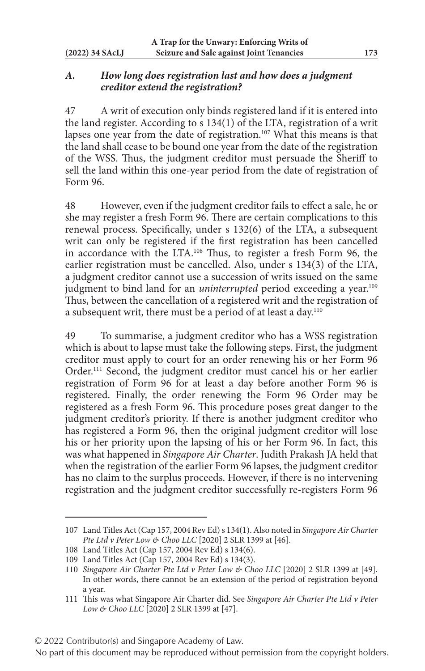### *A. How long does registration last and how does a judgment creditor extend the registration?*

47 A writ of execution only binds registered land if it is entered into the land register. According to s 134(1) of the LTA, registration of a writ lapses one year from the date of registration.<sup>107</sup> What this means is that the land shall cease to be bound one year from the date of the registration of the WSS. Thus, the judgment creditor must persuade the Sheriff to sell the land within this one-year period from the date of registration of Form 96.

48 However, even if the judgment creditor fails to effect a sale, he or she may register a fresh Form 96. There are certain complications to this renewal process. Specifically, under s 132(6) of the LTA, a subsequent writ can only be registered if the first registration has been cancelled in accordance with the LTA.108 Thus, to register a fresh Form 96, the earlier registration must be cancelled. Also, under s 134(3) of the LTA, a judgment creditor cannot use a succession of writs issued on the same judgment to bind land for an *uninterrupted* period exceeding a year.<sup>109</sup> Thus, between the cancellation of a registered writ and the registration of a subsequent writ, there must be a period of at least a day.<sup>110</sup>

49 To summarise, a judgment creditor who has a WSS registration which is about to lapse must take the following steps. First, the judgment creditor must apply to court for an order renewing his or her Form 96 Order.<sup>111</sup> Second, the judgment creditor must cancel his or her earlier registration of Form 96 for at least a day before another Form 96 is registered. Finally, the order renewing the Form 96 Order may be registered as a fresh Form 96. This procedure poses great danger to the judgment creditor's priority. If there is another judgment creditor who has registered a Form 96, then the original judgment creditor will lose his or her priority upon the lapsing of his or her Form 96. In fact, this was what happened in *Singapore Air Charter*. Judith Prakash JA held that when the registration of the earlier Form 96 lapses, the judgment creditor has no claim to the surplus proceeds. However, if there is no intervening registration and the judgment creditor successfully re-registers Form 96

<sup>107</sup> Land Titles Act (Cap 157, 2004 Rev Ed) s 134(1). Also noted in *Singapore Air Charter Pte Ltd v Peter Low & Choo LLC* [2020] 2 SLR 1399 at [46].

<sup>108</sup> Land Titles Act (Cap 157, 2004 Rev Ed) s 134(6).

<sup>109</sup> Land Titles Act (Cap 157, 2004 Rev Ed) s 134(3).

<sup>110</sup> *Singapore Air Charter Pte Ltd v Peter Low & Choo LLC* [2020] 2 SLR 1399 at [49]. In other words, there cannot be an extension of the period of registration beyond a year.

<sup>111</sup> This was what Singapore Air Charter did. See *Singapore Air Charter Pte Ltd v Peter Low & Choo LLC* [2020] 2 SLR 1399 at [47].

No part of this document may be reproduced without permission from the copyright holders.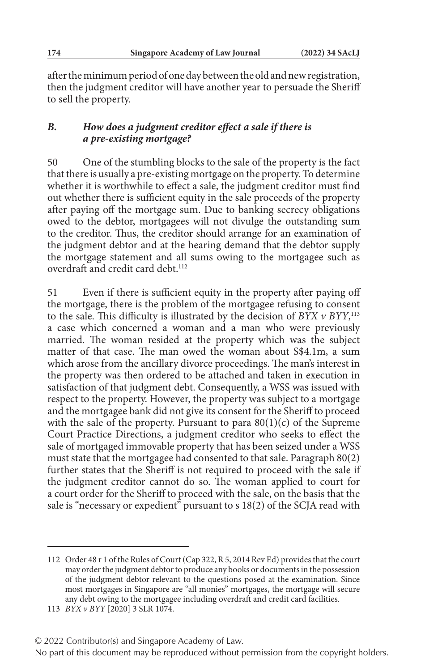after the minimum period of one day between the old and new registration, then the judgment creditor will have another year to persuade the Sheriff to sell the property.

## *B. How does a judgment creditor effect a sale if there is a pre‑existing mortgage?*

50 One of the stumbling blocks to the sale of the property is the fact that there is usually a pre-existing mortgage on the property. To determine whether it is worthwhile to effect a sale, the judgment creditor must find out whether there is sufficient equity in the sale proceeds of the property after paying off the mortgage sum. Due to banking secrecy obligations owed to the debtor, mortgagees will not divulge the outstanding sum to the creditor. Thus, the creditor should arrange for an examination of the judgment debtor and at the hearing demand that the debtor supply the mortgage statement and all sums owing to the mortgagee such as overdraft and credit card debt.<sup>112</sup>

51 Even if there is sufficient equity in the property after paying off the mortgage, there is the problem of the mortgagee refusing to consent to the sale. This difficulty is illustrated by the decision of *BYX v BYY*, 113 a case which concerned a woman and a man who were previously married. The woman resided at the property which was the subject matter of that case. The man owed the woman about S\$4.1m, a sum which arose from the ancillary divorce proceedings. The man's interest in the property was then ordered to be attached and taken in execution in satisfaction of that judgment debt. Consequently, a WSS was issued with respect to the property. However, the property was subject to a mortgage and the mortgagee bank did not give its consent for the Sheriff to proceed with the sale of the property. Pursuant to para  $80(1)(c)$  of the Supreme Court Practice Directions, a judgment creditor who seeks to effect the sale of mortgaged immovable property that has been seized under a WSS must state that the mortgagee had consented to that sale. Paragraph 80(2) further states that the Sheriff is not required to proceed with the sale if the judgment creditor cannot do so. The woman applied to court for a court order for the Sheriff to proceed with the sale, on the basis that the sale is "necessary or expedient" pursuant to  $s$  18(2) of the SCJA read with

### © 2022 Contributor(s) and Singapore Academy of Law.

<sup>112</sup> Order 48 r 1 of the Rules of Court (Cap 322, R 5, 2014 Rev Ed) provides that the court may order the judgment debtor to produce any books or documents in the possession of the judgment debtor relevant to the questions posed at the examination. Since most mortgages in Singapore are "all monies" mortgages, the mortgage will secure any debt owing to the mortgagee including overdraft and credit card facilities.

<sup>113</sup> *BYX v BYY* [2020] 3 SLR 1074.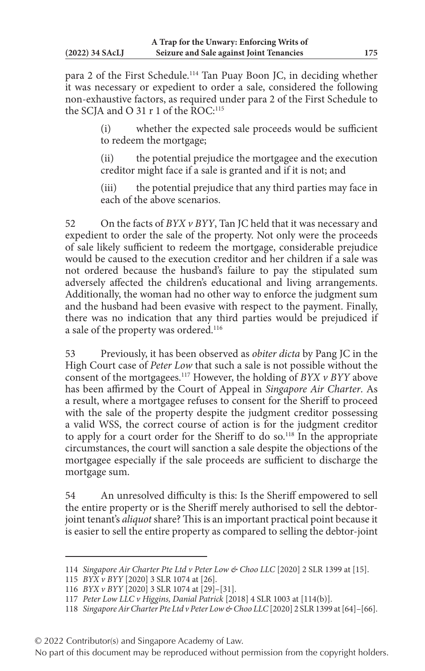para 2 of the First Schedule.114 Tan Puay Boon JC, in deciding whether it was necessary or expedient to order a sale, considered the following non-exhaustive factors, as required under para 2 of the First Schedule to the SCIA and O 31 r 1 of the ROC:<sup>115</sup>

> (i) whether the expected sale proceeds would be sufficient to redeem the mortgage;

> (ii) the potential prejudice the mortgagee and the execution creditor might face if a sale is granted and if it is not; and

> (iii) the potential prejudice that any third parties may face in each of the above scenarios.

52 On the facts of *BYX v BYY*, Tan JC held that it was necessary and expedient to order the sale of the property. Not only were the proceeds of sale likely sufficient to redeem the mortgage, considerable prejudice would be caused to the execution creditor and her children if a sale was not ordered because the husband's failure to pay the stipulated sum adversely affected the children's educational and living arrangements. Additionally, the woman had no other way to enforce the judgment sum and the husband had been evasive with respect to the payment. Finally, there was no indication that any third parties would be prejudiced if a sale of the property was ordered.<sup>116</sup>

53 Previously, it has been observed as *obiter dicta* by Pang JC in the High Court case of *Peter Low* that such a sale is not possible without the consent of the mortgagees.117 However, the holding of *BYX v BYY* above has been affirmed by the Court of Appeal in *Singapore Air Charter*. As a result, where a mortgagee refuses to consent for the Sheriff to proceed with the sale of the property despite the judgment creditor possessing a valid WSS, the correct course of action is for the judgment creditor to apply for a court order for the Sheriff to do so.<sup>118</sup> In the appropriate circumstances, the court will sanction a sale despite the objections of the mortgagee especially if the sale proceeds are sufficient to discharge the mortgage sum.

54 An unresolved difficulty is this: Is the Sheriff empowered to sell the entire property or is the Sheriff merely authorised to sell the debtorjoint tenant's *aliquot* share? This is an important practical point because it is easier to sell the entire property as compared to selling the debtor-joint

<sup>114</sup> *Singapore Air Charter Pte Ltd v Peter Low & Choo LLC* [2020] 2 SLR 1399 at [15].

<sup>115</sup> *BYX v BYY* [2020] 3 SLR 1074 at [26].

<sup>116</sup> *BYX v BYY* [2020] 3 SLR 1074 at [29]–[31].

<sup>117</sup> *Peter Low LLC v Higgins, Danial Patrick* [2018] 4 SLR 1003 at [114(b)].

<sup>118</sup> *Singapore Air Charter Pte Ltd v Peter Low & Choo LLC* [2020] 2 SLR 1399 at [64]–[66].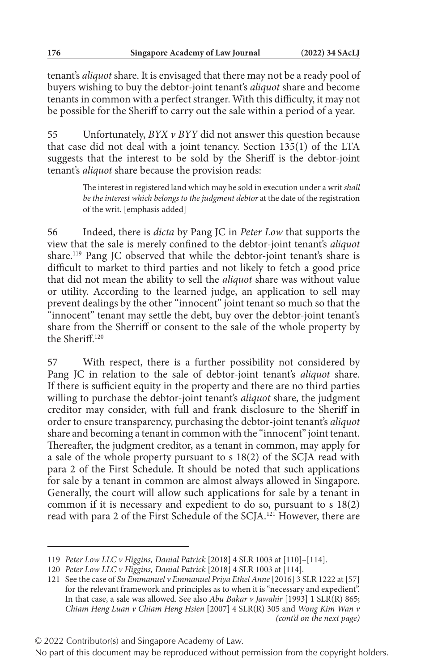tenant's *aliquot* share. It is envisaged that there may not be a ready pool of buyers wishing to buy the debtor-joint tenant's *aliquot* share and become tenants in common with a perfect stranger. With this difficulty, it may not be possible for the Sheriff to carry out the sale within a period of a year.

55 Unfortunately, *BYX v BYY* did not answer this question because that case did not deal with a joint tenancy. Section 135(1) of the LTA suggests that the interest to be sold by the Sheriff is the debtor-joint tenant's *aliquot* share because the provision reads:

> The interest in registered land which may be sold in execution under a writ *shall be the interest which belongs to the judgment debtor* at the date of the registration of the writ. [emphasis added]

56 Indeed, there is *dicta* by Pang JC in *Peter Low* that supports the view that the sale is merely confined to the debtor-joint tenant's *aliquot* share.<sup>119</sup> Pang JC observed that while the debtor-joint tenant's share is difficult to market to third parties and not likely to fetch a good price that did not mean the ability to sell the *aliquot* share was without value or utility. According to the learned judge, an application to sell may prevent dealings by the other "innocent" joint tenant so much so that the "innocent" tenant may settle the debt, buy over the debtor-joint tenant's share from the Sherriff or consent to the sale of the whole property by the Sheriff.120

57 With respect, there is a further possibility not considered by Pang JC in relation to the sale of debtor-joint tenant's *aliquot* share. If there is sufficient equity in the property and there are no third parties willing to purchase the debtor-joint tenant's *aliquot* share, the judgment creditor may consider, with full and frank disclosure to the Sheriff in order to ensure transparency, purchasing the debtor-joint tenant's *aliquot* share and becoming a tenant in common with the "innocent" joint tenant. Thereafter, the judgment creditor, as a tenant in common, may apply for a sale of the whole property pursuant to s 18(2) of the SCJA read with para 2 of the First Schedule. It should be noted that such applications for sale by a tenant in common are almost always allowed in Singapore. Generally, the court will allow such applications for sale by a tenant in common if it is necessary and expedient to do so, pursuant to s 18(2) read with para 2 of the First Schedule of the SCJA.121 However, there are

<sup>119</sup> *Peter Low LLC v Higgins, Danial Patrick* [2018] 4 SLR 1003 at [110]–[114].

<sup>120</sup> *Peter Low LLC v Higgins, Danial Patrick* [2018] 4 SLR 1003 at [114].

<sup>121</sup> See the case of *Su Emmanuel v Emmanuel Priya Ethel Anne* [2016] 3 SLR 1222 at [57] for the relevant framework and principles as to when it is "necessary and expedient". In that case, a sale was allowed. See also *Abu Bakar v Jawahir* [1993] 1 SLR(R) 865; *Chiam Heng Luan v Chiam Heng Hsien* [2007] 4 SLR(R) 305 and *Wong Kim Wan v (cont'd on the next page)*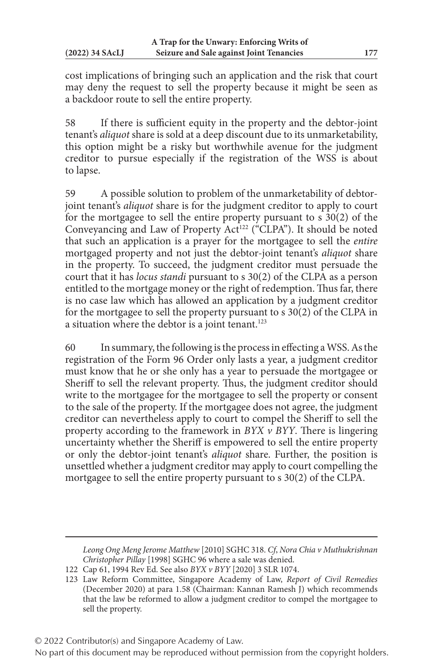cost implications of bringing such an application and the risk that court may deny the request to sell the property because it might be seen as a backdoor route to sell the entire property.

58 If there is sufficient equity in the property and the debtor-joint tenant's *aliquot* share is sold at a deep discount due to its unmarketability, this option might be a risky but worthwhile avenue for the judgment creditor to pursue especially if the registration of the WSS is about to lapse.

59 A possible solution to problem of the unmarketability of debtorjoint tenant's *aliquot* share is for the judgment creditor to apply to court for the mortgagee to sell the entire property pursuant to s 30(2) of the Conveyancing and Law of Property  $Act^{122}$  ("CLPA"). It should be noted that such an application is a prayer for the mortgagee to sell the *entire* mortgaged property and not just the debtor-joint tenant's *aliquot* share in the property. To succeed, the judgment creditor must persuade the court that it has *locus standi* pursuant to s 30(2) of the CLPA as a person entitled to the mortgage money or the right of redemption. Thus far, there is no case law which has allowed an application by a judgment creditor for the mortgagee to sell the property pursuant to s 30(2) of the CLPA in a situation where the debtor is a joint tenant.<sup>123</sup>

60 In summary, the following is the process in effecting a WSS. As the registration of the Form 96 Order only lasts a year, a judgment creditor must know that he or she only has a year to persuade the mortgagee or Sheriff to sell the relevant property. Thus, the judgment creditor should write to the mortgagee for the mortgagee to sell the property or consent to the sale of the property. If the mortgagee does not agree, the judgment creditor can nevertheless apply to court to compel the Sheriff to sell the property according to the framework in *BYX v BYY*. There is lingering uncertainty whether the Sheriff is empowered to sell the entire property or only the debtor-joint tenant's *aliquot* share. Further, the position is unsettled whether a judgment creditor may apply to court compelling the mortgagee to sell the entire property pursuant to s 30(2) of the CLPA.

*Leong Ong Meng Jerome Matthew* [2010] SGHC 318. *Cf*, *Nora Chia v Muthukrishnan Christopher Pillay* [1998] SGHC 96 where a sale was denied.

<sup>122</sup> Cap 61, 1994 Rev Ed. See also *BYX v BYY* [2020] 3 SLR 1074.

<sup>123</sup> Law Reform Committee, Singapore Academy of Law, *Report of Civil Remedies* (December 2020) at para 1.58 (Chairman: Kannan Ramesh J) which recommends that the law be reformed to allow a judgment creditor to compel the mortgagee to sell the property.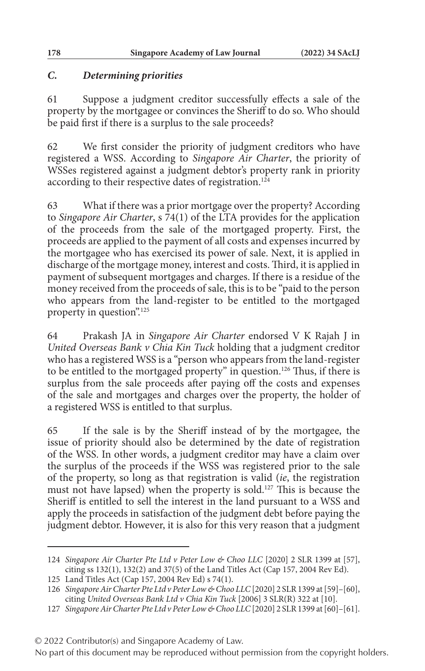### *C. Determining priorities*

61 Suppose a judgment creditor successfully effects a sale of the property by the mortgagee or convinces the Sheriff to do so. Who should be paid first if there is a surplus to the sale proceeds?

62 We first consider the priority of judgment creditors who have registered a WSS. According to *Singapore Air Charter*, the priority of WSSes registered against a judgment debtor's property rank in priority according to their respective dates of registration.<sup>124</sup>

63 What if there was a prior mortgage over the property? According to *Singapore Air Charter*, s 74(1) of the LTA provides for the application of the proceeds from the sale of the mortgaged property. First, the proceeds are applied to the payment of all costs and expenses incurred by the mortgagee who has exercised its power of sale. Next, it is applied in discharge of the mortgage money, interest and costs. Third, it is applied in payment of subsequent mortgages and charges. If there is a residue of the money received from the proceeds of sale, this is to be "paid to the person who appears from the land-register to be entitled to the mortgaged property in question".125

64 Prakash JA in *Singapore Air Charter* endorsed V K Rajah J in *United Overseas Bank v Chia Kin Tuck* holding that a judgment creditor who has a registered WSS is a "person who appears from the land-register to be entitled to the mortgaged property" in question.126 Thus, if there is surplus from the sale proceeds after paying off the costs and expenses of the sale and mortgages and charges over the property, the holder of a registered WSS is entitled to that surplus.

65 If the sale is by the Sheriff instead of by the mortgagee, the issue of priority should also be determined by the date of registration of the WSS. In other words, a judgment creditor may have a claim over the surplus of the proceeds if the WSS was registered prior to the sale of the property, so long as that registration is valid (*ie*, the registration must not have lapsed) when the property is sold.<sup>127</sup> This is because the Sheriff is entitled to sell the interest in the land pursuant to a WSS and apply the proceeds in satisfaction of the judgment debt before paying the judgment debtor. However, it is also for this very reason that a judgment

<sup>124</sup> *Singapore Air Charter Pte Ltd v Peter Low & Choo LLC* [2020] 2 SLR 1399 at [57], citing ss 132(1), 132(2) and 37(5) of the Land Titles Act (Cap 157, 2004 Rev Ed).

<sup>125</sup> Land Titles Act (Cap 157, 2004 Rev Ed) s 74(1).

<sup>126</sup> *Singapore Air Charter Pte Ltd v Peter Low & Choo LLC* [2020] 2 SLR 1399 at [59]–[60], citing *United Overseas Bank Ltd v Chia Kin Tuck* [2006] 3 SLR(R) 322 at [10].

<sup>127</sup> *Singapore Air Charter Pte Ltd v Peter Low & Choo LLC* [2020] 2 SLR 1399 at [60]–[61].